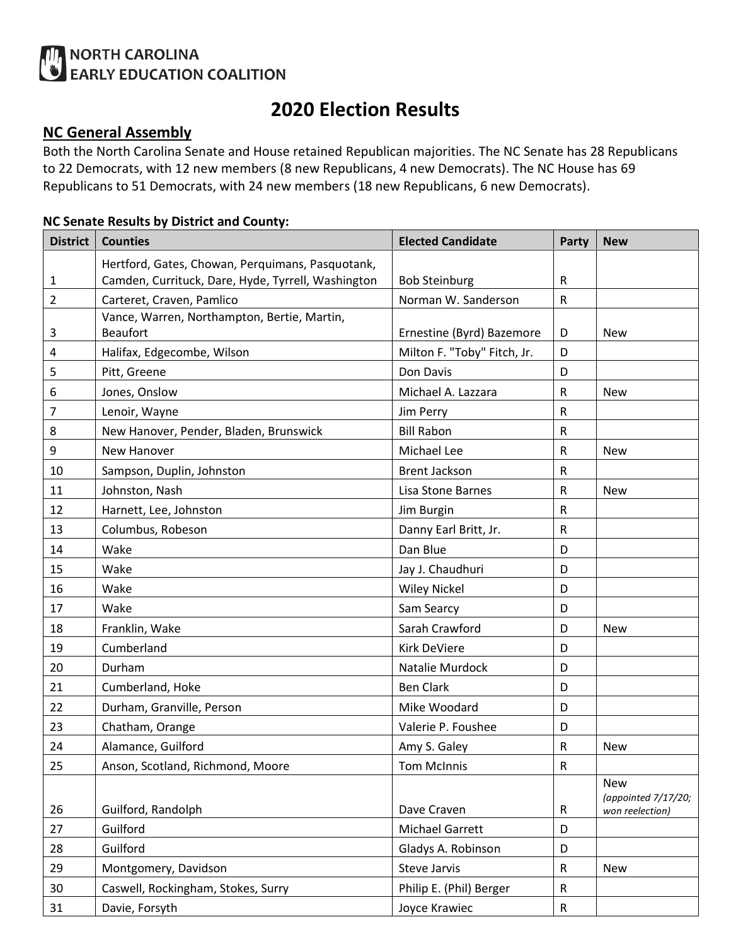# **ALL NORTH CAROLINA**<br>
EARLY EDUCATION COALITION

# **2020 Election Results**

## **NC General Assembly**

Both the North Carolina Senate and House retained Republican majorities. The NC Senate has 28 Republicans to 22 Democrats, with 12 new members (8 new Republicans, 4 new Democrats). The NC House has 69 Republicans to 51 Democrats, with 24 new members (18 new Republicans, 6 new Democrats).

#### **NC Senate Results by District and County:**

| <b>District</b> | <b>Counties</b>                                    | <b>Elected Candidate</b>    | Party        | <b>New</b>          |
|-----------------|----------------------------------------------------|-----------------------------|--------------|---------------------|
|                 | Hertford, Gates, Chowan, Perquimans, Pasquotank,   |                             |              |                     |
| 1               | Camden, Currituck, Dare, Hyde, Tyrrell, Washington | <b>Bob Steinburg</b>        | $\mathsf R$  |                     |
| $\overline{2}$  | Carteret, Craven, Pamlico                          | Norman W. Sanderson         | ${\sf R}$    |                     |
|                 | Vance, Warren, Northampton, Bertie, Martin,        |                             |              |                     |
| 3               | <b>Beaufort</b>                                    | Ernestine (Byrd) Bazemore   | D            | <b>New</b>          |
| 4               | Halifax, Edgecombe, Wilson                         | Milton F. "Toby" Fitch, Jr. | D            |                     |
| 5               | Pitt, Greene                                       | Don Davis                   | D            |                     |
| 6               | Jones, Onslow                                      | Michael A. Lazzara          | $\mathsf R$  | <b>New</b>          |
| 7               | Lenoir, Wayne                                      | Jim Perry                   | ${\sf R}$    |                     |
| 8               | New Hanover, Pender, Bladen, Brunswick             | <b>Bill Rabon</b>           | $\mathsf{R}$ |                     |
| 9               | New Hanover                                        | Michael Lee                 | $\mathsf{R}$ | <b>New</b>          |
| 10              | Sampson, Duplin, Johnston                          | <b>Brent Jackson</b>        | $\mathsf R$  |                     |
| 11              | Johnston, Nash                                     | Lisa Stone Barnes           | $\mathsf R$  | <b>New</b>          |
| 12              | Harnett, Lee, Johnston                             | Jim Burgin                  | $\mathsf{R}$ |                     |
| 13              | Columbus, Robeson                                  | Danny Earl Britt, Jr.       | $\mathsf R$  |                     |
| 14              | Wake                                               | Dan Blue                    | D            |                     |
| 15              | Wake                                               | Jay J. Chaudhuri            | D            |                     |
| 16              | Wake                                               | <b>Wiley Nickel</b>         | D            |                     |
| 17              | Wake                                               | Sam Searcy                  | D            |                     |
| 18              | Franklin, Wake                                     | Sarah Crawford              | D            | <b>New</b>          |
| 19              | Cumberland                                         | <b>Kirk DeViere</b>         | D            |                     |
| 20              | Durham                                             | Natalie Murdock             | D            |                     |
| 21              | Cumberland, Hoke                                   | <b>Ben Clark</b>            | D            |                     |
| 22              | Durham, Granville, Person                          | Mike Woodard                | D            |                     |
| 23              | Chatham, Orange                                    | Valerie P. Foushee          | D            |                     |
| 24              | Alamance, Guilford                                 | Amy S. Galey                | $\mathsf R$  | <b>New</b>          |
| 25              | Anson, Scotland, Richmond, Moore                   | <b>Tom McInnis</b>          | ${\sf R}$    |                     |
|                 |                                                    |                             |              | <b>New</b>          |
| 26              | Guilford, Randolph                                 | Dave Craven                 | $\mathsf R$  | (appointed 7/17/20; |
| 27              | Guilford                                           |                             |              | won reelection)     |
|                 |                                                    | <b>Michael Garrett</b><br>D |              |                     |
| 28              | Guilford                                           | Gladys A. Robinson          | D            |                     |
| 29              | Montgomery, Davidson                               | Steve Jarvis                | $\mathsf{R}$ | <b>New</b>          |
| 30              | Caswell, Rockingham, Stokes, Surry                 | Philip E. (Phil) Berger     | ${\sf R}$    |                     |
| 31              | Davie, Forsyth                                     | Joyce Krawiec               | ${\sf R}$    |                     |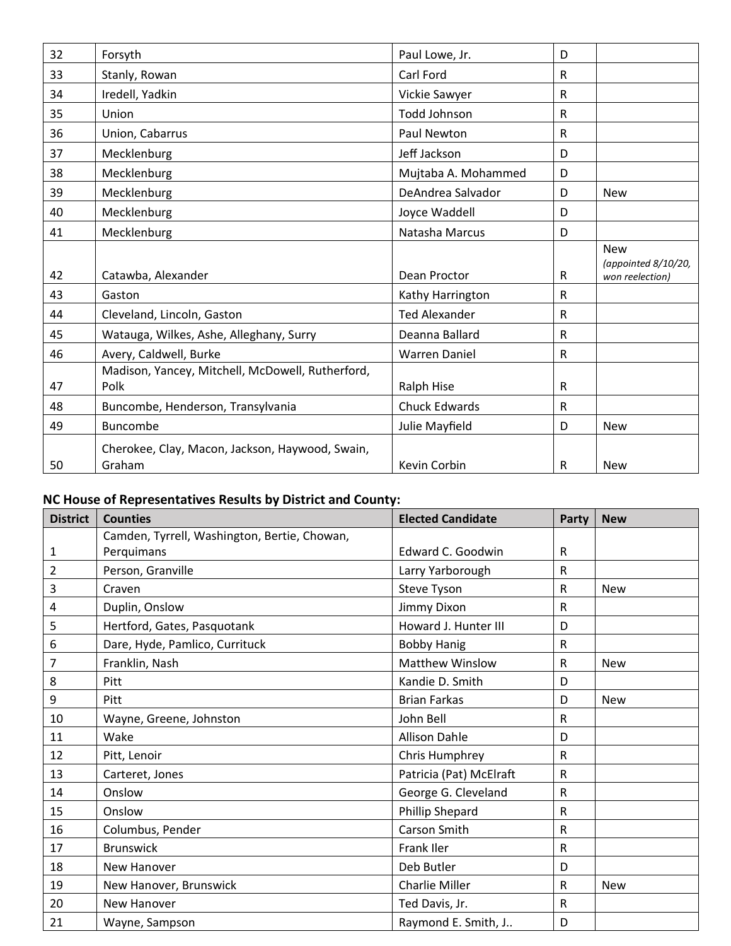| 32 | Forsyth                                                   | Paul Lowe, Jr.       | D |                                                      |
|----|-----------------------------------------------------------|----------------------|---|------------------------------------------------------|
| 33 | Stanly, Rowan                                             | Carl Ford            | R |                                                      |
| 34 | Iredell, Yadkin                                           | Vickie Sawyer        | R |                                                      |
| 35 | Union                                                     | <b>Todd Johnson</b>  | R |                                                      |
| 36 | Union, Cabarrus                                           | Paul Newton          | R |                                                      |
| 37 | Mecklenburg                                               | Jeff Jackson         | D |                                                      |
| 38 | Mecklenburg                                               | Mujtaba A. Mohammed  | D |                                                      |
| 39 | Mecklenburg                                               | DeAndrea Salvador    | D | <b>New</b>                                           |
| 40 | Mecklenburg                                               | Joyce Waddell        | D |                                                      |
| 41 | Mecklenburg                                               | Natasha Marcus       | D |                                                      |
| 42 | Catawba, Alexander                                        | Dean Proctor         | R | <b>New</b><br>(appointed 8/10/20,<br>won reelection) |
| 43 | Gaston                                                    | Kathy Harrington     | R |                                                      |
| 44 | Cleveland, Lincoln, Gaston                                | <b>Ted Alexander</b> | R |                                                      |
| 45 | Watauga, Wilkes, Ashe, Alleghany, Surry                   | Deanna Ballard       | R |                                                      |
| 46 | Avery, Caldwell, Burke                                    | <b>Warren Daniel</b> | R |                                                      |
| 47 | Madison, Yancey, Mitchell, McDowell, Rutherford,<br>Polk  | Ralph Hise           | R |                                                      |
| 48 | Buncombe, Henderson, Transylvania                         | <b>Chuck Edwards</b> | R |                                                      |
| 49 | <b>Buncombe</b>                                           | Julie Mayfield       | D | <b>New</b>                                           |
| 50 | Cherokee, Clay, Macon, Jackson, Haywood, Swain,<br>Graham | Kevin Corbin         | R | <b>New</b>                                           |

# **NC House of Representatives Results by District and County:**

| <b>District</b> | <b>Counties</b>                              | <b>Elected Candidate</b> | <b>Party</b> | <b>New</b> |
|-----------------|----------------------------------------------|--------------------------|--------------|------------|
|                 | Camden, Tyrrell, Washington, Bertie, Chowan, |                          |              |            |
| 1               | Perquimans                                   | Edward C. Goodwin        | $\mathsf R$  |            |
| $\overline{2}$  | Person, Granville                            | Larry Yarborough         | R            |            |
| 3               | Craven                                       | Steve Tyson              | $\mathsf{R}$ | <b>New</b> |
| 4               | Duplin, Onslow                               | Jimmy Dixon              | $\mathsf{R}$ |            |
| 5               | Hertford, Gates, Pasquotank                  | Howard J. Hunter III     | D            |            |
| 6               | Dare, Hyde, Pamlico, Currituck               | <b>Bobby Hanig</b>       | $\mathsf{R}$ |            |
| 7               | Franklin, Nash                               | <b>Matthew Winslow</b>   | $\mathsf R$  | <b>New</b> |
| 8               | Pitt                                         | Kandie D. Smith          | D            |            |
| 9               | <b>Pitt</b>                                  | <b>Brian Farkas</b>      | D            | <b>New</b> |
| 10              | Wayne, Greene, Johnston                      | John Bell                | $\mathsf R$  |            |
| 11              | Wake                                         | <b>Allison Dahle</b>     | D            |            |
| 12              | Pitt, Lenoir                                 | Chris Humphrey           | $\mathsf{R}$ |            |
| 13              | Carteret, Jones                              | Patricia (Pat) McElraft  | $\mathsf{R}$ |            |
| 14              | Onslow                                       | George G. Cleveland      | R            |            |
| 15              | Onslow                                       | <b>Phillip Shepard</b>   | $\mathsf{R}$ |            |
| 16              | Columbus, Pender                             | Carson Smith             | $\mathsf{R}$ |            |
| 17              | <b>Brunswick</b>                             | <b>Frank Iler</b>        | R            |            |
| 18              | New Hanover                                  | Deb Butler               | D            |            |
| 19              | New Hanover, Brunswick                       | <b>Charlie Miller</b>    | R            | <b>New</b> |
| 20              | New Hanover                                  | Ted Davis, Jr.           | R            |            |
| 21              | Wayne, Sampson                               | Raymond E. Smith, J      | D            |            |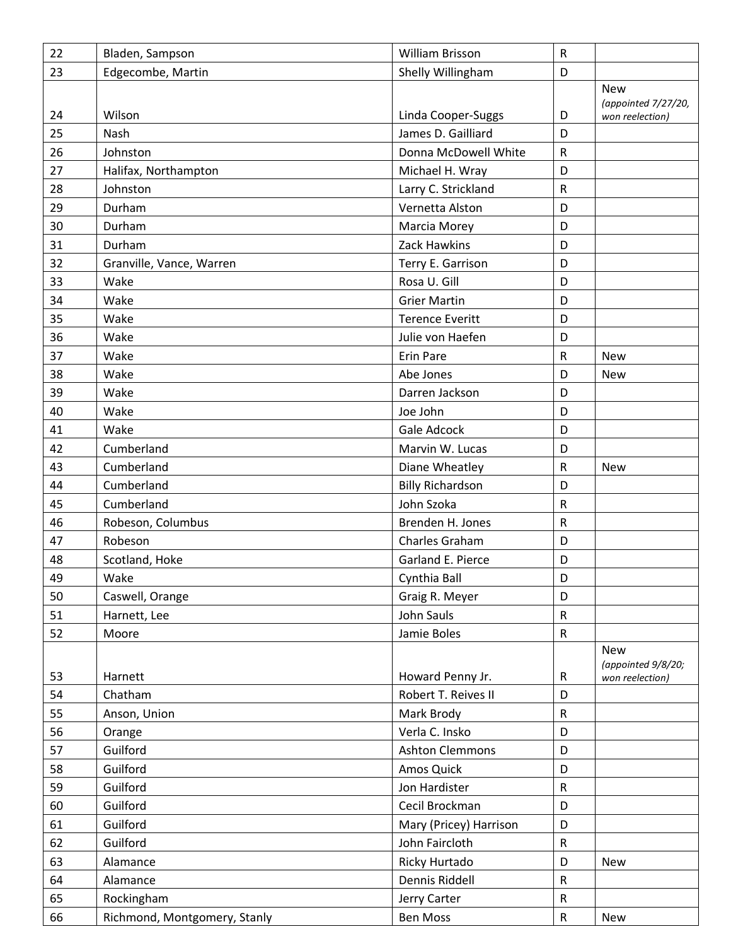| 22 | Bladen, Sampson              | William Brisson         | $\mathsf R$  |                                                      |
|----|------------------------------|-------------------------|--------------|------------------------------------------------------|
| 23 | Edgecombe, Martin            | Shelly Willingham<br>D  |              |                                                      |
| 24 | Wilson                       | Linda Cooper-Suggs      | D            | <b>New</b><br>(appointed 7/27/20,<br>won reelection) |
| 25 | Nash                         | James D. Gailliard      | D            |                                                      |
| 26 | Johnston                     | Donna McDowell White    | $\mathsf R$  |                                                      |
| 27 | Halifax, Northampton         | Michael H. Wray         | D            |                                                      |
| 28 | Johnston                     | Larry C. Strickland     | $\mathsf R$  |                                                      |
| 29 | Durham                       | Vernetta Alston         | D            |                                                      |
| 30 | Durham                       | Marcia Morey            | D            |                                                      |
| 31 | Durham                       | Zack Hawkins            | D            |                                                      |
| 32 | Granville, Vance, Warren     | Terry E. Garrison       | D            |                                                      |
| 33 | Wake                         | Rosa U. Gill            | D            |                                                      |
| 34 | Wake                         | <b>Grier Martin</b>     | D            |                                                      |
| 35 | Wake                         | <b>Terence Everitt</b>  | D            |                                                      |
| 36 | Wake                         | Julie von Haefen        | D            |                                                      |
| 37 | Wake                         | <b>Erin Pare</b>        | $\mathsf R$  | <b>New</b>                                           |
| 38 | Wake                         | Abe Jones               | D            | <b>New</b>                                           |
| 39 | Wake                         | Darren Jackson          | D            |                                                      |
| 40 | Wake                         | Joe John                | D            |                                                      |
| 41 | Wake                         | Gale Adcock             | D            |                                                      |
| 42 | Cumberland                   | Marvin W. Lucas         | D            |                                                      |
| 43 | Cumberland                   | Diane Wheatley          | ${\sf R}$    | <b>New</b>                                           |
| 44 | Cumberland                   | <b>Billy Richardson</b> | D            |                                                      |
| 45 | Cumberland                   | John Szoka              | $\mathsf R$  |                                                      |
| 46 | Robeson, Columbus            | Brenden H. Jones        | $\mathsf{R}$ |                                                      |
| 47 | Robeson                      | Charles Graham          | D            |                                                      |
| 48 | Scotland, Hoke               | Garland E. Pierce       | D            |                                                      |
| 49 | Wake                         | Cynthia Ball            | D            |                                                      |
| 50 | Caswell, Orange              | Graig R. Meyer          | D            |                                                      |
| 51 | Harnett, Lee                 | John Sauls              | $\mathsf{R}$ |                                                      |
| 52 | Moore                        | Jamie Boles             | ${\sf R}$    |                                                      |
|    |                              |                         |              | <b>New</b><br>(appointed 9/8/20;                     |
| 53 | Harnett                      | Howard Penny Jr.        | ${\sf R}$    | won reelection)                                      |
| 54 | Chatham                      | Robert T. Reives II     | D            |                                                      |
| 55 | Anson, Union                 | Mark Brody              | ${\sf R}$    |                                                      |
| 56 | Orange                       | Verla C. Insko          | D            |                                                      |
| 57 | Guilford                     | <b>Ashton Clemmons</b>  | D            |                                                      |
| 58 | Guilford                     | Amos Quick              | D            |                                                      |
| 59 | Guilford                     | Jon Hardister           | ${\sf R}$    |                                                      |
| 60 | Guilford                     | Cecil Brockman          | D            |                                                      |
| 61 | Guilford                     | Mary (Pricey) Harrison  | D            |                                                      |
| 62 | Guilford                     | John Faircloth          | ${\sf R}$    |                                                      |
| 63 | Alamance                     | Ricky Hurtado           | D            | New                                                  |
| 64 | Alamance                     | Dennis Riddell          | $\mathsf{R}$ |                                                      |
| 65 | Rockingham                   | Jerry Carter            | ${\sf R}$    |                                                      |
| 66 | Richmond, Montgomery, Stanly | Ben Moss                | ${\sf R}$    | <b>New</b>                                           |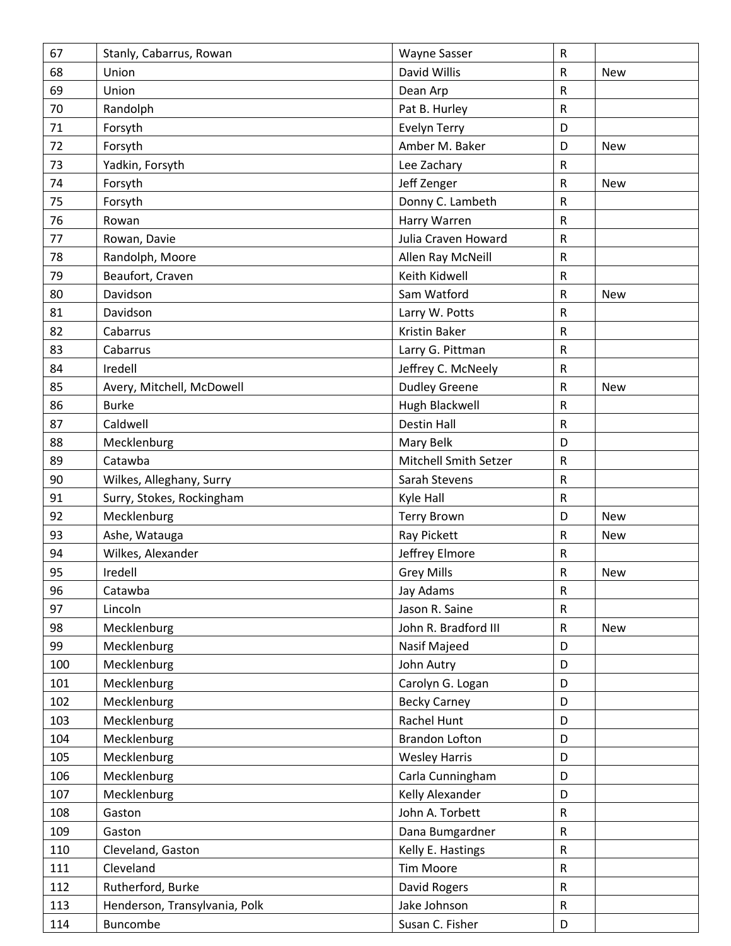| 67  | Stanly, Cabarrus, Rowan       | <b>Wayne Sasser</b>   | ${\sf R}$    |            |
|-----|-------------------------------|-----------------------|--------------|------------|
| 68  | Union                         | David Willis          | $\mathsf{R}$ | <b>New</b> |
| 69  | Union                         | Dean Arp              | $\mathsf{R}$ |            |
| 70  | Randolph                      | Pat B. Hurley         | $\mathsf{R}$ |            |
| 71  | Forsyth                       | <b>Evelyn Terry</b>   | D            |            |
| 72  | Forsyth                       | Amber M. Baker        | D            | <b>New</b> |
| 73  | Yadkin, Forsyth               | Lee Zachary           | ${\sf R}$    |            |
| 74  | Forsyth                       | Jeff Zenger           | $\mathsf R$  | <b>New</b> |
| 75  | Forsyth                       | Donny C. Lambeth      | ${\sf R}$    |            |
| 76  | Rowan                         | Harry Warren          | $\mathsf R$  |            |
| 77  | Rowan, Davie                  | Julia Craven Howard   | ${\sf R}$    |            |
| 78  | Randolph, Moore               | Allen Ray McNeill     | ${\sf R}$    |            |
| 79  | Beaufort, Craven              | Keith Kidwell         | R            |            |
| 80  | Davidson                      | Sam Watford           | ${\sf R}$    | <b>New</b> |
| 81  | Davidson                      | Larry W. Potts        | $\sf R$      |            |
| 82  | Cabarrus                      | Kristin Baker         | $\sf R$      |            |
| 83  | Cabarrus                      | Larry G. Pittman      | ${\sf R}$    |            |
| 84  | Iredell                       | Jeffrey C. McNeely    | ${\sf R}$    |            |
| 85  | Avery, Mitchell, McDowell     | <b>Dudley Greene</b>  | R            | <b>New</b> |
| 86  | <b>Burke</b>                  | Hugh Blackwell        | $\mathsf R$  |            |
| 87  | Caldwell                      | Destin Hall           | $\mathsf{R}$ |            |
| 88  | Mecklenburg                   | Mary Belk             | D            |            |
| 89  | Catawba                       | Mitchell Smith Setzer | ${\sf R}$    |            |
| 90  | Wilkes, Alleghany, Surry      | Sarah Stevens         | ${\sf R}$    |            |
| 91  | Surry, Stokes, Rockingham     | Kyle Hall             | $\sf R$      |            |
| 92  | Mecklenburg                   | <b>Terry Brown</b>    | D            | <b>New</b> |
| 93  | Ashe, Watauga                 | Ray Pickett           | R            | <b>New</b> |
| 94  | Wilkes, Alexander             | Jeffrey Elmore        | R            |            |
| 95  | Iredell                       | <b>Grey Mills</b>     | ${\sf R}$    | New        |
| 96  | Catawba                       | Jay Adams             | ${\sf R}$    |            |
| 97  | Lincoln                       | Jason R. Saine        | ${\sf R}$    |            |
| 98  | Mecklenburg                   | John R. Bradford III  | ${\sf R}$    | New        |
| 99  | Mecklenburg                   | Nasif Majeed          | D            |            |
| 100 | Mecklenburg                   | John Autry            | D            |            |
| 101 | Mecklenburg                   | Carolyn G. Logan      | D            |            |
| 102 | Mecklenburg                   | <b>Becky Carney</b>   | D            |            |
| 103 | Mecklenburg                   | Rachel Hunt           | D            |            |
| 104 | Mecklenburg                   | <b>Brandon Lofton</b> | D            |            |
| 105 | Mecklenburg                   | <b>Wesley Harris</b>  | D            |            |
| 106 | Mecklenburg                   | Carla Cunningham      | D            |            |
| 107 | Mecklenburg                   | Kelly Alexander       | D            |            |
| 108 | Gaston                        | John A. Torbett       | ${\sf R}$    |            |
| 109 | Gaston                        | Dana Bumgardner       | ${\sf R}$    |            |
| 110 | Cleveland, Gaston             | Kelly E. Hastings     | $\mathsf R$  |            |
| 111 | Cleveland                     | <b>Tim Moore</b>      | ${\sf R}$    |            |
| 112 | Rutherford, Burke             | David Rogers          | ${\sf R}$    |            |
| 113 | Henderson, Transylvania, Polk | Jake Johnson          | ${\sf R}$    |            |
| 114 | Buncombe                      | Susan C. Fisher       | D            |            |